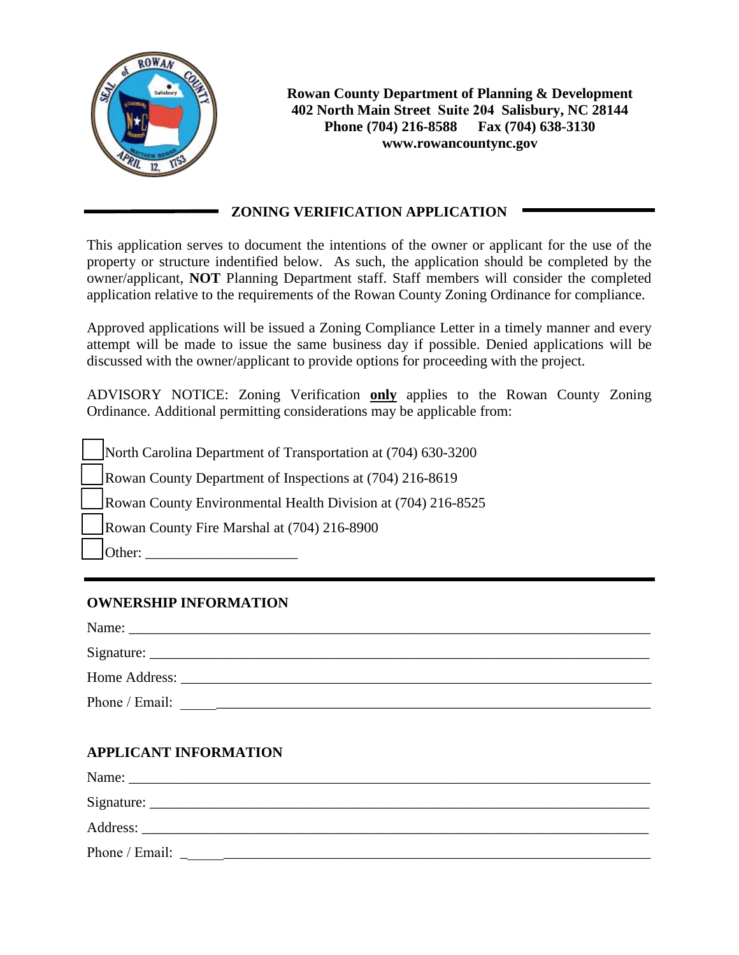

**Rowan County Department of Planning & Development 402 North Main Street Suite 204 Salisbury, NC 28144 Phone (704) 216-8588 Fax (704) 638-3130 www.rowancountync.gov**

## **ZONING VERIFICATION APPLICATION**

This application serves to document the intentions of the owner or applicant for the use of the property or structure indentified below. As such, the application should be completed by the owner/applicant, **NOT** Planning Department staff. Staff members will consider the completed application relative to the requirements of the Rowan County Zoning Ordinance for compliance.

Approved applications will be issued a Zoning Compliance Letter in a timely manner and every attempt will be made to issue the same business day if possible. Denied applications will be discussed with the owner/applicant to provide options for proceeding with the project.

ADVISORY NOTICE: Zoning Verification **only** applies to the Rowan County Zoning Ordinance. Additional permitting considerations may be applicable from:

North Carolina Department of Transportation at (704) 630-3200 Rowan County Department of Inspections at (704) 216-8619 Rowan County Environmental Health Division at (704) 216-8525 Rowan County Fire Marshal at (704) 216-8900 Other:  $\Box$ 

## **OWNERSHIP INFORMATION**

| Name:                                                                                                                                                                                                                          |
|--------------------------------------------------------------------------------------------------------------------------------------------------------------------------------------------------------------------------------|
|                                                                                                                                                                                                                                |
| Home Address: New York Changes and Security and Security and Security and Security and Security and Security and Security and Security and Security and Security and Security and Security and Security and Security and Secur |
| Phone / Email:                                                                                                                                                                                                                 |

# **APPLICANT INFORMATION**